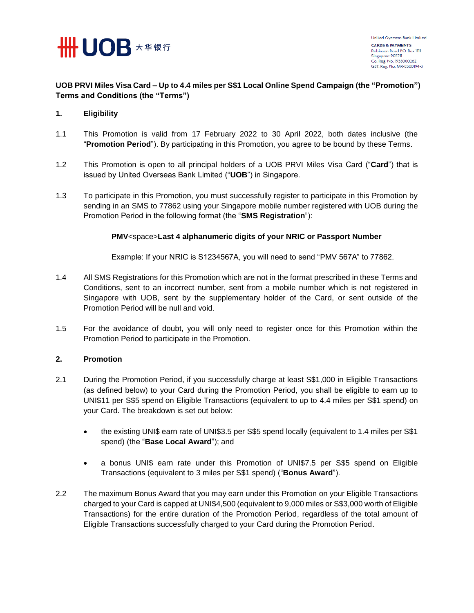

## **UOB PRVI Miles Visa Card – Up to 4.4 miles per S\$1 Local Online Spend Campaign (the "Promotion") Terms and Conditions (the "Terms")**

### **1. Eligibility**

- 1.1 This Promotion is valid from 17 February 2022 to 30 April 2022, both dates inclusive (the "**Promotion Period**"). By participating in this Promotion, you agree to be bound by these Terms.
- 1.2 This Promotion is open to all principal holders of a UOB PRVI Miles Visa Card ("**Card**") that is issued by United Overseas Bank Limited ("**UOB**") in Singapore.
- 1.3 To participate in this Promotion, you must successfully register to participate in this Promotion by sending in an SMS to 77862 using your Singapore mobile number registered with UOB during the Promotion Period in the following format (the "**SMS Registration**"):

### **PMV**<space>**Last 4 alphanumeric digits of your NRIC or Passport Number**

Example: If your NRIC is S1234567A, you will need to send "PMV 567A" to 77862.

- 1.4 All SMS Registrations for this Promotion which are not in the format prescribed in these Terms and Conditions, sent to an incorrect number, sent from a mobile number which is not registered in Singapore with UOB, sent by the supplementary holder of the Card, or sent outside of the Promotion Period will be null and void.
- 1.5 For the avoidance of doubt, you will only need to register once for this Promotion within the Promotion Period to participate in the Promotion.

### **2. Promotion**

- 2.1 During the Promotion Period, if you successfully charge at least S\$1,000 in Eligible Transactions (as defined below) to your Card during the Promotion Period, you shall be eligible to earn up to UNI\$11 per S\$5 spend on Eligible Transactions (equivalent to up to 4.4 miles per S\$1 spend) on your Card. The breakdown is set out below:
	- the existing UNI\$ earn rate of UNI\$3.5 per S\$5 spend locally (equivalent to 1.4 miles per S\$1 spend) (the "**Base Local Award**"); and
	- a bonus UNI\$ earn rate under this Promotion of UNI\$7.5 per S\$5 spend on Eligible Transactions (equivalent to 3 miles per S\$1 spend) ("**Bonus Award**").
- 2.2 The maximum Bonus Award that you may earn under this Promotion on your Eligible Transactions charged to your Card is capped at UNI\$4,500 (equivalent to 9,000 miles or S\$3,000 worth of Eligible Transactions) for the entire duration of the Promotion Period, regardless of the total amount of Eligible Transactions successfully charged to your Card during the Promotion Period.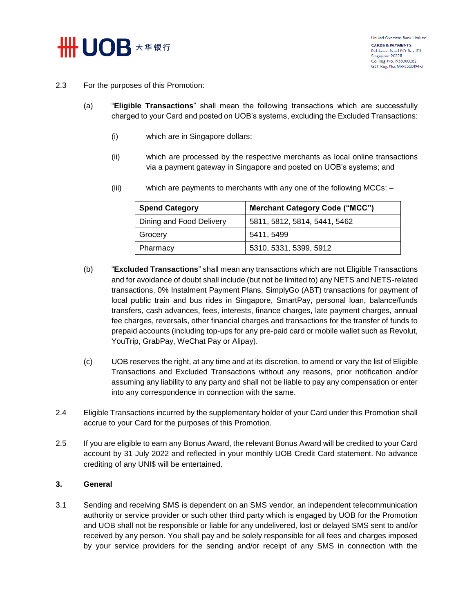

- 2.3 For the purposes of this Promotion:
	- (a) "**Eligible Transactions**" shall mean the following transactions which are successfully charged to your Card and posted on UOB's systems, excluding the Excluded Transactions:
		- (i) which are in Singapore dollars;
		- (ii) which are processed by the respective merchants as local online transactions via a payment gateway in Singapore and posted on UOB's systems; and
		- (iii) which are payments to merchants with any one of the following MCCs: –

| <b>Spend Category</b>    | <b>Merchant Category Code ("MCC")</b> |
|--------------------------|---------------------------------------|
| Dining and Food Delivery | 5811, 5812, 5814, 5441, 5462          |
| Grocery                  | 5411, 5499                            |
| Pharmacy                 | 5310, 5331, 5399, 5912                |

- (b) "**Excluded Transactions**" shall mean any transactions which are not Eligible Transactions and for avoidance of doubt shall include (but not be limited to) any NETS and NETS-related transactions, 0% Instalment Payment Plans, SimplyGo (ABT) transactions for payment of local public train and bus rides in Singapore, SmartPay, personal loan, balance/funds transfers, cash advances, fees, interests, finance charges, late payment charges, annual fee charges, reversals, other financial charges and transactions for the transfer of funds to prepaid accounts (including top-ups for any pre-paid card or mobile wallet such as Revolut, YouTrip, GrabPay, WeChat Pay or Alipay).
- (c) UOB reserves the right, at any time and at its discretion, to amend or vary the list of Eligible Transactions and Excluded Transactions without any reasons, prior notification and/or assuming any liability to any party and shall not be liable to pay any compensation or enter into any correspondence in connection with the same.
- 2.4 Eligible Transactions incurred by the supplementary holder of your Card under this Promotion shall accrue to your Card for the purposes of this Promotion.
- 2.5 If you are eligible to earn any Bonus Award, the relevant Bonus Award will be credited to your Card account by 31 July 2022 and reflected in your monthly UOB Credit Card statement. No advance crediting of any UNI\$ will be entertained.

#### **3. General**

3.1 Sending and receiving SMS is dependent on an SMS vendor, an independent telecommunication authority or service provider or such other third party which is engaged by UOB for the Promotion and UOB shall not be responsible or liable for any undelivered, lost or delayed SMS sent to and/or received by any person. You shall pay and be solely responsible for all fees and charges imposed by your service providers for the sending and/or receipt of any SMS in connection with the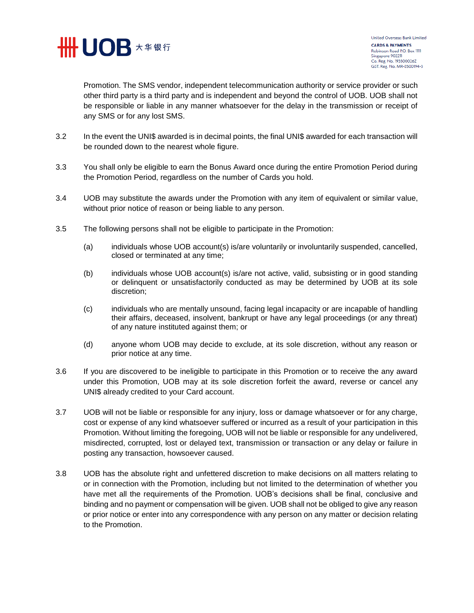

United Overseas Bank Limited **CARDS & PAYMENTS** Robinson Road P.O. Box 1111 Singapore 902211 Co. Reg. No. 193500026Z GST. Reg. No. MR-8500194-3

Promotion. The SMS vendor, independent telecommunication authority or service provider or such other third party is a third party and is independent and beyond the control of UOB. UOB shall not be responsible or liable in any manner whatsoever for the delay in the transmission or receipt of any SMS or for any lost SMS.

- 3.2 In the event the UNI\$ awarded is in decimal points, the final UNI\$ awarded for each transaction will be rounded down to the nearest whole figure.
- 3.3 You shall only be eligible to earn the Bonus Award once during the entire Promotion Period during the Promotion Period, regardless on the number of Cards you hold.
- 3.4 UOB may substitute the awards under the Promotion with any item of equivalent or similar value, without prior notice of reason or being liable to any person.
- 3.5 The following persons shall not be eligible to participate in the Promotion:
	- (a) individuals whose UOB account(s) is/are voluntarily or involuntarily suspended, cancelled, closed or terminated at any time;
	- (b) individuals whose UOB account(s) is/are not active, valid, subsisting or in good standing or delinquent or unsatisfactorily conducted as may be determined by UOB at its sole discretion;
	- (c) individuals who are mentally unsound, facing legal incapacity or are incapable of handling their affairs, deceased, insolvent, bankrupt or have any legal proceedings (or any threat) of any nature instituted against them; or
	- (d) anyone whom UOB may decide to exclude, at its sole discretion, without any reason or prior notice at any time.
- 3.6 If you are discovered to be ineligible to participate in this Promotion or to receive the any award under this Promotion, UOB may at its sole discretion forfeit the award, reverse or cancel any UNI\$ already credited to your Card account.
- 3.7 UOB will not be liable or responsible for any injury, loss or damage whatsoever or for any charge, cost or expense of any kind whatsoever suffered or incurred as a result of your participation in this Promotion. Without limiting the foregoing, UOB will not be liable or responsible for any undelivered, misdirected, corrupted, lost or delayed text, transmission or transaction or any delay or failure in posting any transaction, howsoever caused.
- 3.8 UOB has the absolute right and unfettered discretion to make decisions on all matters relating to or in connection with the Promotion, including but not limited to the determination of whether you have met all the requirements of the Promotion. UOB's decisions shall be final, conclusive and binding and no payment or compensation will be given. UOB shall not be obliged to give any reason or prior notice or enter into any correspondence with any person on any matter or decision relating to the Promotion.